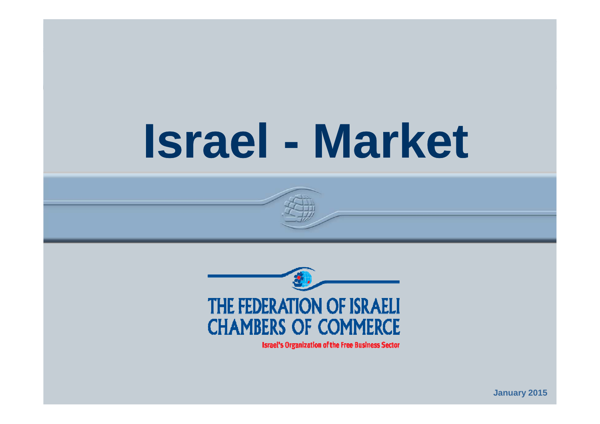### **Israel Market**

**Israel Economy**



**Israel's Organization of the Free Business Sector** 

**January 2015**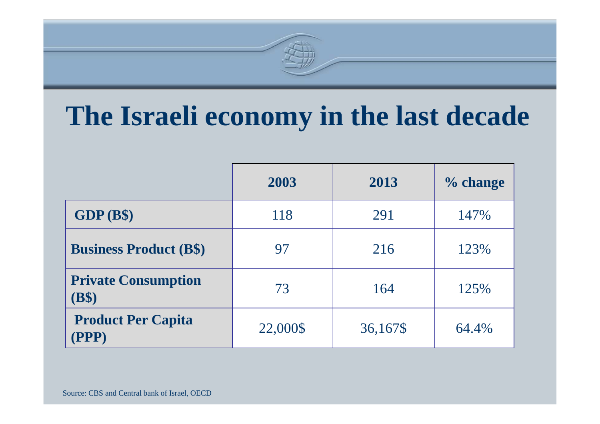# **The Israeli economy in the last decade**

|                                     | 2003     | 2013     | % change |
|-------------------------------------|----------|----------|----------|
| GDP(B\$)                            | 118      | 291      | 147%     |
| <b>Business Product (B\$)</b>       | 97       | 216      | 123%     |
| <b>Private Consumption</b><br>(B\$) | 73       | 164      | 125%     |
| <b>Product Per Capita</b><br>PPP)   | 22,000\$ | 36,167\$ | 64.4%    |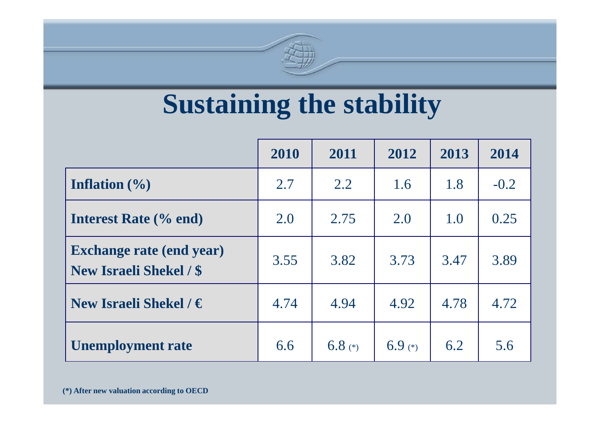

# **Sustaining the stability**

|                                                                   | 2010 | 2011      | 2012      | 2013 | 2014   |
|-------------------------------------------------------------------|------|-----------|-----------|------|--------|
| Inflation $(\% )$                                                 | 2.7  | 2.2       | 1.6       | 1.8  | $-0.2$ |
| <b>Interest Rate</b> (% end)                                      | 2.0  | 2.75      | 2.0       | 1.0  | 0.25   |
| <b>Exchange rate (end year)</b><br><b>New Israeli Shekel / \$</b> | 3.55 | 3.82      | 3.73      | 3.47 | 3.89   |
| New Israeli Shekel / $\in$                                        | 4.74 | 4.94      | 4.92      | 4.78 | 4.72   |
| <b>Unemployment rate</b>                                          | 6.6  | 6.8 $(*)$ | $6.9$ (*) | 6.2  | 5.6    |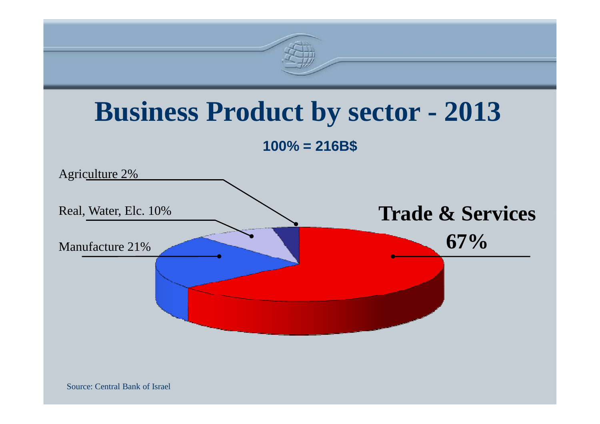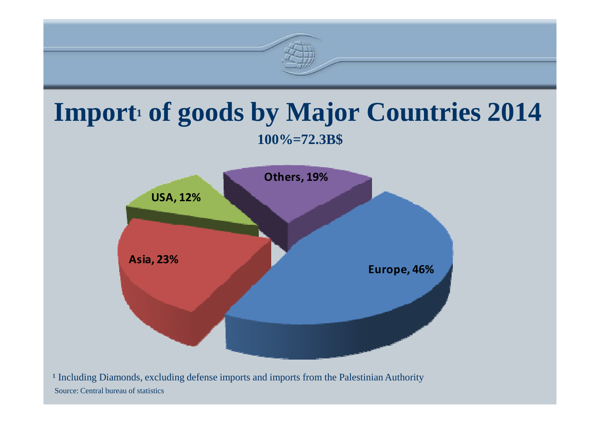

#### Import<sup>1</sup> of goods by Major Countries 2014 **100%=72.3B\$**



Source: Central bureau of statistics<sup>1</sup> Including Diamonds, excluding defense imports and imports from the Palestinian Authority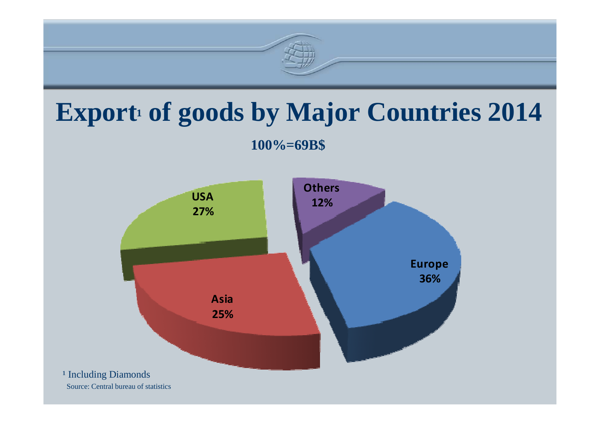

# **Export<sup>1</sup> of goods by Major Countries 2014**

**100%=69B\$**

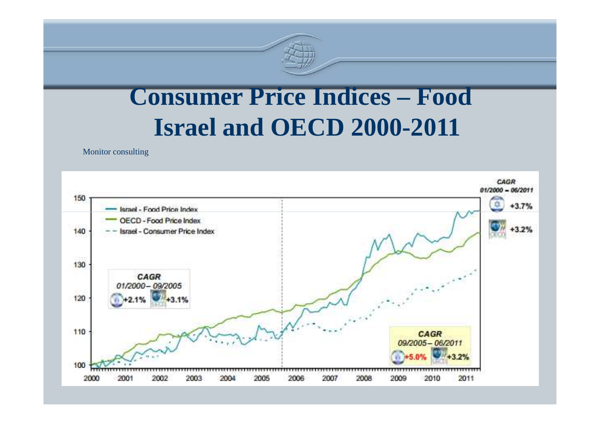

## **Consumer Price Indices – Food Israel and OECD 2000-2011**

Monitor consulting

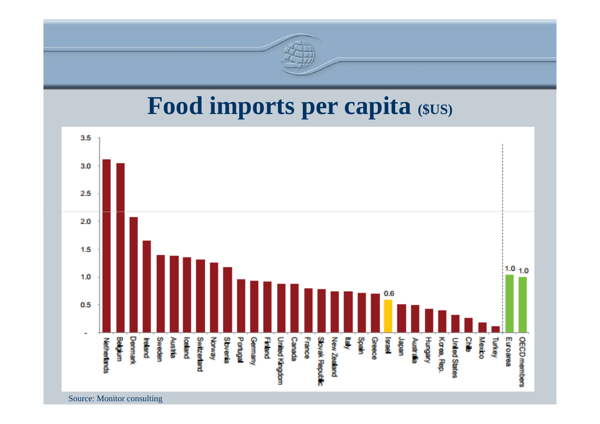

#### **Food imports per capita (\$US)**



Source: Monitor consulting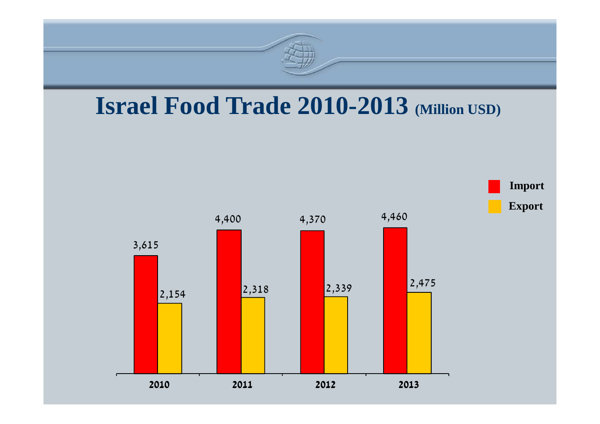

#### **Israel Food Trade 2010-2013 (Million USD)**

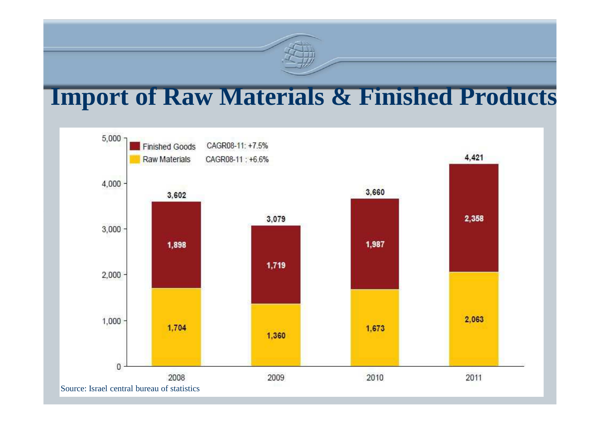### **Import of Raw Materials & Finished Products**

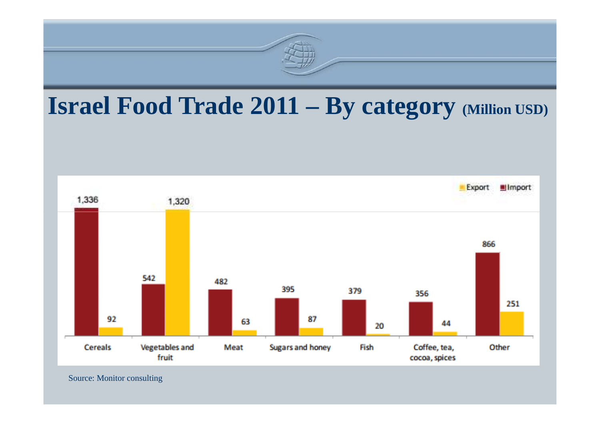

#### **Israel Food Trade 2011 – By category (Million USD)**



Source: Monitor consulting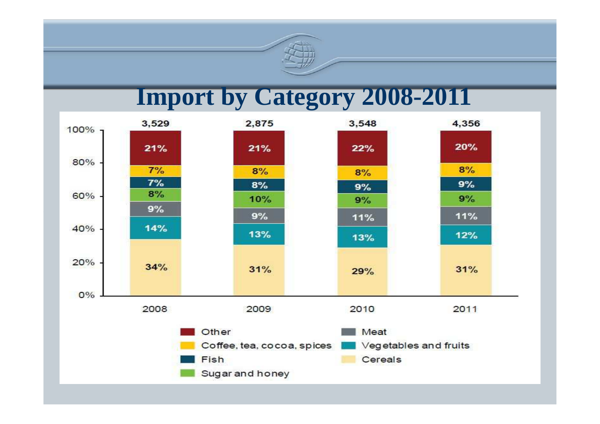

#### **Import by Category 2008-2011**

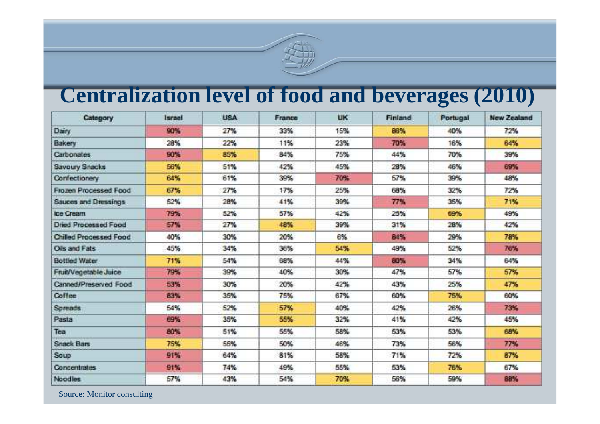

#### **Centralization level of food and beverages (2010)**

| Category                      | Istand | USA. | France | <b>UK</b> | <b>Finland</b> | Portugal | New Zealand |
|-------------------------------|--------|------|--------|-----------|----------------|----------|-------------|
| Dairy                         | 90%    | 27%  | 33%    | 15%       | 86%            | 40%      | 72%         |
| Bakery                        | 28%    | 22%  | 11%    | 23%       | 70%            | 16%      | 64%         |
| Carbonates.                   | 90%    | 85%  | 84%    | 75%       | 44%            | 70%      | 39%         |
| Savoury Snacks                | 56%    | 51%  | 42%    | 45%       | 28%            | 46%      | 69%         |
| Confectionery                 | 64%    | 61%  | 39%    | 70%       | 57%            | 39%      | 48%         |
| Frozen Processed Food         | 67%    | 27%  | 17%    | 25%       | 68%            | 32%      | 72%         |
| Sauces and Dressings          | 52%    | 28%  | 41%    | 39%       | 77%            | 35%      | 71%         |
| loe Cream                     | 79%    | 52%  | 57%    | 42%       | 25%            | 69%      | 49%         |
| <b>Dried Processed Food</b>   | 57%    | 27%  | 48%    | 39%       | 31%            | 28%      | 42%         |
| <b>Chilled Processed Food</b> | 40%    | 30%  | 20%    | 6%        | 84%            | 29%      | 78%         |
| Oils and Fats:                | 45%    | 34%  | 36%    | 54%       | 49%            | 52%      | 76%         |
| <b>Bottled Water</b>          | 71%    | 54%  | 68%    | 44%       | 80%            | 34%      | 64%         |
| Fruit/Vegetable Juice         | 79%    | 39%  | 40%    | 30%       | 47%            | 57%      | 57%         |
| Canned/Preserved Food         | 53%    | 30%  | 20%    | 42%       | 43%            | 25%      | 47%         |
| Coffee                        | 83%    | 35%  | 75%    | 67%       | 60%            | 75%      | 60%         |
| Spreads:                      | 54%    | 52%  | 57%    | 40%       | 42%            | 26%      | 73%         |
| Pasta                         | 69%    | 35%  | 55%    | 32%       | 41%            | 42%      | 45%         |
| Tea                           | B0%    | 51%  | 55%    | 58%       | 53%            | 53%      | 68%         |
| <b>Snack Bars</b>             | 75%    | 55%  | 50%    | 46%       | 73%            | 56%      | 77%         |
| Soup                          | 91%    | 64%  | 81%    | 58%       | 71%            | 72%      | 87%         |
| <b>Concentrates</b>           | 91%    | 74%  | 49%    | 55%       | 53%            | 76%      | 67%         |
| Noodles.                      | 57%    | 43%  | 54%    | 70%       | 56%            | 59%      | 88%         |

Source: Monitor consulting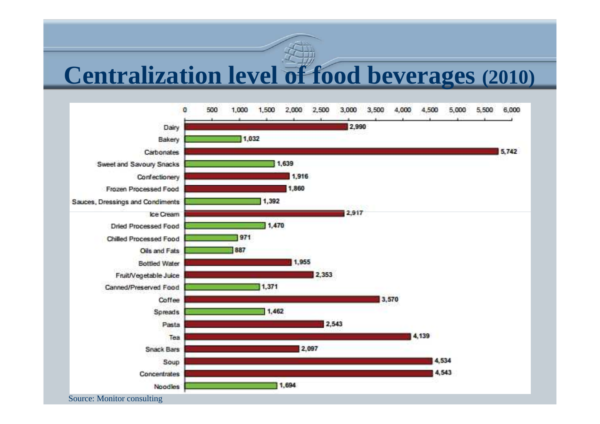### **Centralization level of food beverages (2010)**

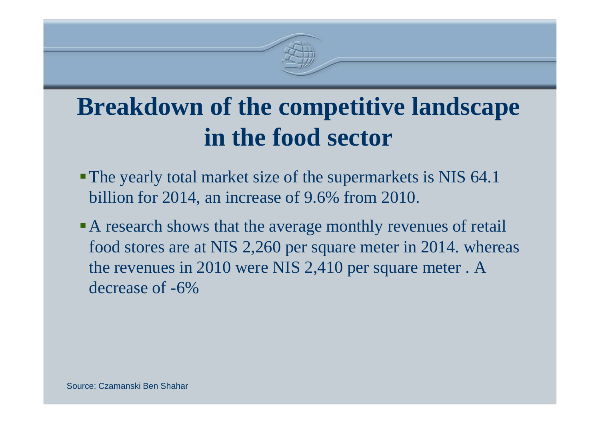

## **Breakdown of the competitive landscapein the food sector**

- The yearly total market size of the supermarkets is NIS 64.1 billion for 2014, an increase of 9.6% from 2010.
- A research shows that the average monthly revenues of retail food stores are at NIS 2,260 per square meter in 2014. whereas the revenues in 2010 were NIS 2,410 per square meter . A decrease of -6%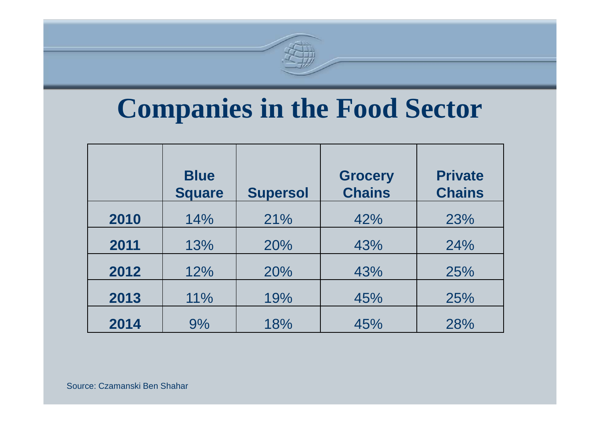# **Companies in the Food Sector**

|      | <b>Blue</b><br><b>Square</b> | <b>Supersol</b> | <b>Grocery</b><br><b>Chains</b> | <b>Private</b><br><b>Chains</b> |
|------|------------------------------|-----------------|---------------------------------|---------------------------------|
| 2010 | 14%                          | 21%             | 42%                             | 23%                             |
| 2011 | 13%                          | 20%             | 43%                             | 24%                             |
| 2012 | 12%                          | 20%             | 43%                             | 25%                             |
| 2013 | 11%                          | 19%             | 45%                             | 25%                             |
| 2014 | 9%                           | 18%             | 45%                             | 28%                             |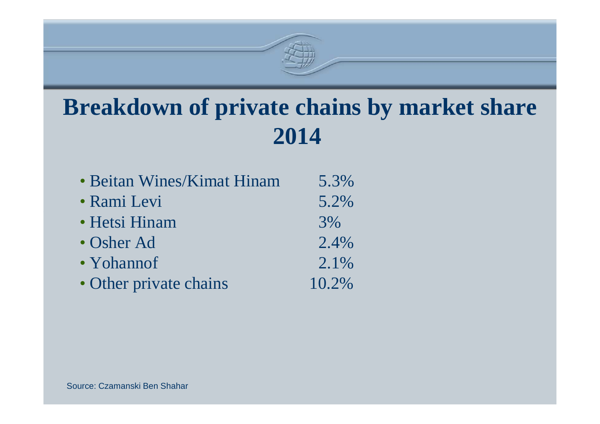

**2014** 

| • Beitan Wines/Kimat Hinam | 5.3%  |
|----------------------------|-------|
| · Rami Levi                | 5.2%  |
| • Hetsi Hinam              | 3%    |
| • Osher Ad                 | 2.4%  |
| • Yohannof                 | 2.1%  |
| • Other private chains     | 10.2% |